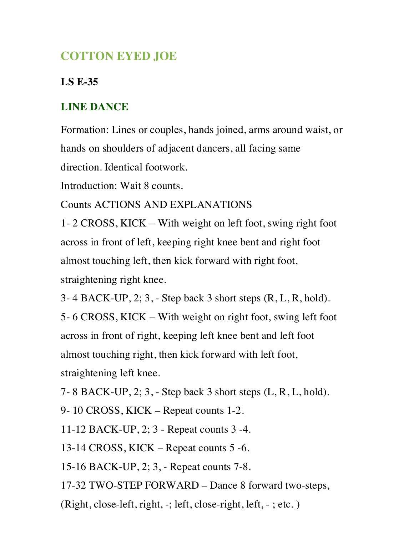# **COTTON EYED JOE**

## **LS E-35**

# **LINE DANCE**

Formation: Lines or couples, hands joined, arms around waist, or hands on shoulders of adjacent dancers, all facing same

direction. Identical footwork.

Introduction: Wait 8 counts.

Counts ACTIONS AND EXPLANATIONS

1- 2 CROSS, KICK – With weight on left foot, swing right foot across in front of left, keeping right knee bent and right foot almost touching left, then kick forward with right foot, straightening right knee.

3- 4 BACK-UP, 2; 3, - Step back 3 short steps (R, L, R, hold).

5- 6 CROSS, KICK – With weight on right foot, swing left foot across in front of right, keeping left knee bent and left foot almost touching right, then kick forward with left foot, straightening left knee.

7- 8 BACK-UP, 2; 3, - Step back 3 short steps (L, R, L, hold).

9- 10 CROSS, KICK – Repeat counts 1-2.

11-12 BACK-UP, 2; 3 - Repeat counts 3 -4.

13-14 CROSS, KICK – Repeat counts 5 -6.

15-16 BACK-UP, 2; 3, - Repeat counts 7-8.

17-32 TWO-STEP FORWARD – Dance 8 forward two-steps,

(Right, close-left, right, -; left, close-right, left, - ; etc. )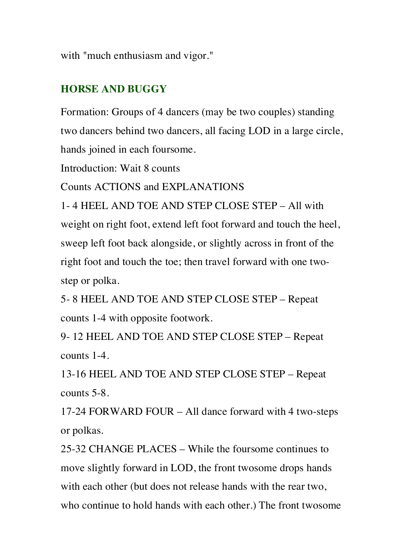with "much enthusiasm and vigor."

## **HORSE AND BUGGY**

Formation: Groups of 4 dancers (may be two couples) standing two dancers behind two dancers, all facing LOD in a large circle, hands joined in each foursome.

Introduction: Wait 8 counts

Counts ACTIONS and EXPLANATIONS

1- 4 HEEL AND TOE AND STEP CLOSE STEP – All with weight on right foot, extend left foot forward and touch the heel, sweep left foot back alongside, or slightly across in front of the right foot and touch the toe; then travel forward with one twostep or polka.

5- 8 HEEL AND TOE AND STEP CLOSE STEP – Repeat counts 1-4 with opposite footwork.

9- 12 HEEL AND TOE AND STEP CLOSE STEP – Repeat counts 1-4.

13-16 HEEL AND TOE AND STEP CLOSE STEP – Repeat counts 5-8.

17-24 FORWARD FOUR – All dance forward with 4 two-steps or polkas.

25-32 CHANGE PLACES – While the foursome continues to move slightly forward in LOD, the front twosome drops hands with each other (but does not release hands with the rear two, who continue to hold hands with each other.) The front twosome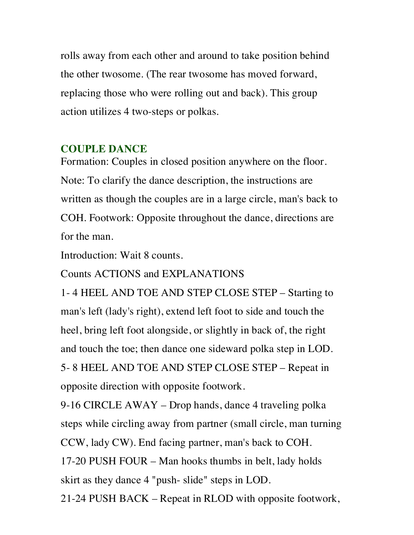rolls away from each other and around to take position behind the other twosome. (The rear twosome has moved forward, replacing those who were rolling out and back). This group action utilizes 4 two-steps or polkas.

#### **COUPLE DANCE**

Formation: Couples in closed position anywhere on the floor. Note: To clarify the dance description, the instructions are written as though the couples are in a large circle, man's back to COH. Footwork: Opposite throughout the dance, directions are for the man.

Introduction: Wait 8 counts.

Counts ACTIONS and EXPLANATIONS

1- 4 HEEL AND TOE AND STEP CLOSE STEP – Starting to man's left (lady's right), extend left foot to side and touch the heel, bring left foot alongside, or slightly in back of, the right and touch the toe; then dance one sideward polka step in LOD. 5- 8 HEEL AND TOE AND STEP CLOSE STEP – Repeat in opposite direction with opposite footwork.

9-16 CIRCLE AWAY – Drop hands, dance 4 traveling polka steps while circling away from partner (small circle, man turning CCW, lady CW). End facing partner, man's back to COH. 17-20 PUSH FOUR – Man hooks thumbs in belt, lady holds skirt as they dance 4 "push- slide" steps in LOD.

21-24 PUSH BACK – Repeat in RLOD with opposite footwork,